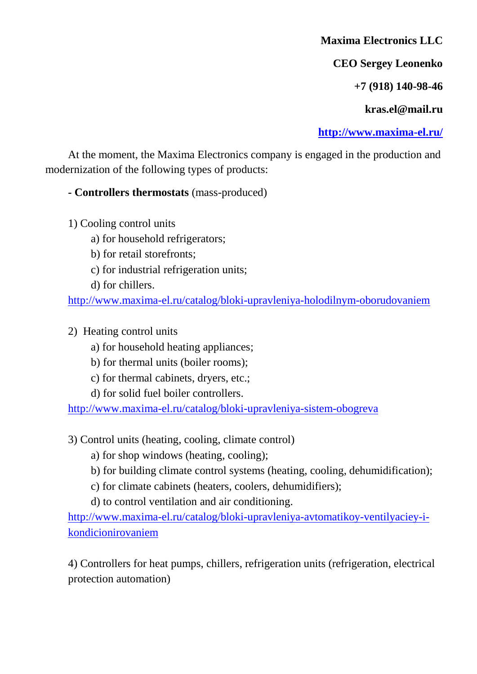**Maxima Electronics LLC**

**CEO Sergey Leonenko**

**+7 (918) 140-98-46**

**kras.el@mail.ru**

**<http://www.maxima-el.ru/>**

At the moment, the Maxima Electronics company is engaged in the production and modernization of the following types of products:

## **- Controllers thermostats** (mass-produced)

- 1) Cooling control units
	- a) for household refrigerators;
	- b) for retail storefronts;
	- c) for industrial refrigeration units;
	- d) for chillers.

<http://www.maxima-el.ru/catalog/bloki-upravleniya-holodilnym-oborudovaniem>

- 2) Heating control units
	- a) for household heating appliances;
	- b) for thermal units (boiler rooms);
	- c) for thermal cabinets, dryers, etc.;
	- d) for solid fuel boiler controllers.

<http://www.maxima-el.ru/catalog/bloki-upravleniya-sistem-obogreva>

- 3) Control units (heating, cooling, climate control)
	- a) for shop windows (heating, cooling);
	- b) for building climate control systems (heating, cooling, dehumidification);
	- c) for climate cabinets (heaters, coolers, dehumidifiers);
	- d) to control ventilation and air conditioning.

[http://www.maxima-el.ru/catalog/bloki-upravleniya-avtomatikoy-ventilyaciey-i](http://www.maxima-el.ru/catalog/bloki-upravleniya-avtomatikoy-ventilyaciey-i-kondicionirovaniem)[kondicionirovaniem](http://www.maxima-el.ru/catalog/bloki-upravleniya-avtomatikoy-ventilyaciey-i-kondicionirovaniem)

4) Controllers for heat pumps, chillers, refrigeration units (refrigeration, electrical protection automation)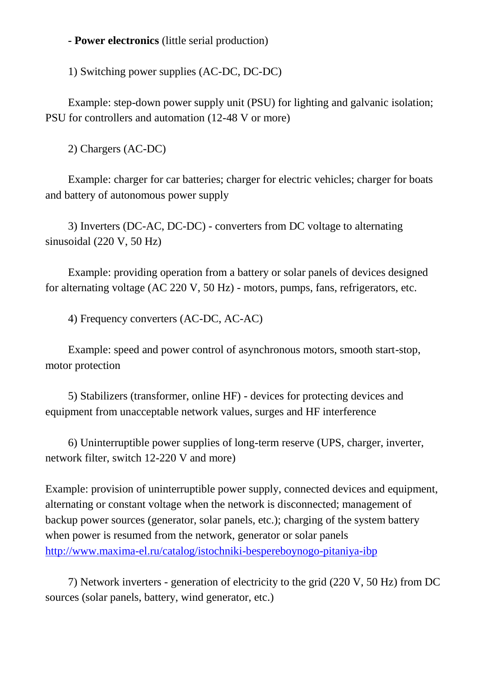## **- Power electronics** (little serial production)

1) Switching power supplies (AC-DC, DC-DC)

Example: step-down power supply unit (PSU) for lighting and galvanic isolation; PSU for controllers and automation (12-48 V or more)

2) Chargers (AC-DC)

Example: charger for car batteries; charger for electric vehicles; charger for boats and battery of autonomous power supply

3) Inverters (DC-AC, DC-DC) - converters from DC voltage to alternating sinusoidal (220 V, 50 Hz)

Example: providing operation from a battery or solar panels of devices designed for alternating voltage (AC 220 V, 50 Hz) - motors, pumps, fans, refrigerators, etc.

4) Frequency converters (AC-DC, AC-AC)

Example: speed and power control of asynchronous motors, smooth start-stop, motor protection

5) Stabilizers (transformer, online HF) - devices for protecting devices and equipment from unacceptable network values, surges and HF interference

6) Uninterruptible power supplies of long-term reserve (UPS, charger, inverter, network filter, switch 12-220 V and more)

Example: provision of uninterruptible power supply, connected devices and equipment, alternating or constant voltage when the network is disconnected; management of backup power sources (generator, solar panels, etc.); charging of the system battery when power is resumed from the network, generator or solar panels <http://www.maxima-el.ru/catalog/istochniki-bespereboynogo-pitaniya-ibp>

7) Network inverters - generation of electricity to the grid (220 V, 50 Hz) from DC sources (solar panels, battery, wind generator, etc.)